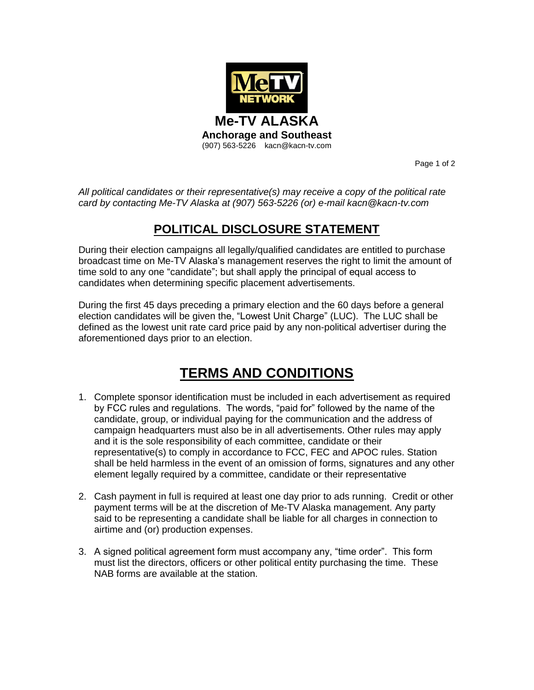

Page 1 of 2

*All political candidates or their representative(s) may receive a copy of the political rate card by contacting Me-TV Alaska at (907) 563-5226 (or) e-mail kacn@kacn-tv.com* 

## **POLITICAL DISCLOSURE STATEMENT**

During their election campaigns all legally/qualified candidates are entitled to purchase broadcast time on Me-TV Alaska's management reserves the right to limit the amount of time sold to any one "candidate"; but shall apply the principal of equal access to candidates when determining specific placement advertisements.

During the first 45 days preceding a primary election and the 60 days before a general election candidates will be given the, "Lowest Unit Charge" (LUC). The LUC shall be defined as the lowest unit rate card price paid by any non-political advertiser during the aforementioned days prior to an election.

## **TERMS AND CONDITIONS**

- 1. Complete sponsor identification must be included in each advertisement as required by FCC rules and regulations. The words, "paid for" followed by the name of the candidate, group, or individual paying for the communication and the address of campaign headquarters must also be in all advertisements. Other rules may apply and it is the sole responsibility of each committee, candidate or their representative(s) to comply in accordance to FCC, FEC and APOC rules. Station shall be held harmless in the event of an omission of forms, signatures and any other element legally required by a committee, candidate or their representative
- 2. Cash payment in full is required at least one day prior to ads running. Credit or other payment terms will be at the discretion of Me-TV Alaska management. Any party said to be representing a candidate shall be liable for all charges in connection to airtime and (or) production expenses.
- 3. A signed political agreement form must accompany any, "time order". This form must list the directors, officers or other political entity purchasing the time. These NAB forms are available at the station.